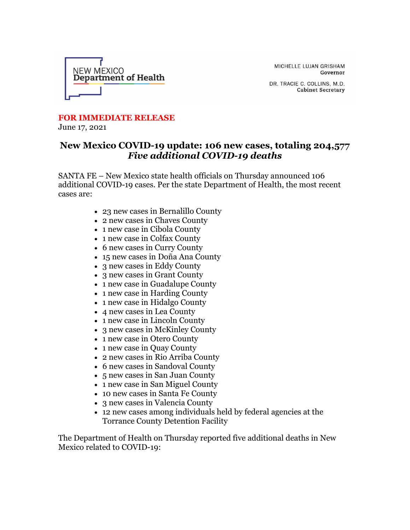

MICHELLE LUJAN GRISHAM Governor

DR. TRACIE C. COLLINS, M.D. **Cabinet Secretary** 

## **FOR IMMEDIATE RELEASE**

June 17, 2021

## **New Mexico COVID-19 update: 106 new cases, totaling 204,577** *Five additional COVID-19 deaths*

SANTA FE – New Mexico state health officials on Thursday announced 106 additional COVID-19 cases. Per the state Department of Health, the most recent cases are:

- 23 new cases in Bernalillo County
- 2 new cases in Chaves County
- 1 new case in Cibola County
- 1 new case in Colfax County
- 6 new cases in Curry County
- 15 new cases in Doña Ana County
- 3 new cases in Eddy County
- 3 new cases in Grant County
- 1 new case in Guadalupe County
- 1 new case in Harding County
- 1 new case in Hidalgo County
- 4 new cases in Lea County
- 1 new case in Lincoln County
- 3 new cases in McKinley County
- 1 new case in Otero County
- 1 new case in Quay County
- 2 new cases in Rio Arriba County
- 6 new cases in Sandoval County
- 5 new cases in San Juan County
- 1 new case in San Miguel County
- 10 new cases in Santa Fe County
- 3 new cases in Valencia County
- 12 new cases among individuals held by federal agencies at the Torrance County Detention Facility

The Department of Health on Thursday reported five additional deaths in New Mexico related to COVID-19: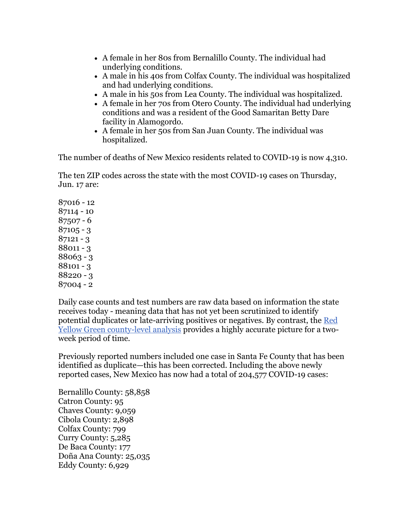- A female in her 80s from Bernalillo County. The individual had underlying conditions.
- A male in his 40s from Colfax County. The individual was hospitalized and had underlying conditions.
- A male in his 50s from Lea County. The individual was hospitalized.
- A female in her 70s from Otero County. The individual had underlying conditions and was a resident of the Good Samaritan Betty Dare facility in Alamogordo.
- A female in her 50s from San Juan County. The individual was hospitalized.

The number of deaths of New Mexico residents related to COVID-19 is now 4,310.

The ten ZIP codes across the state with the most COVID-19 cases on Thursday, Jun. 17 are:

Daily case counts and test numbers are raw data based on information the state receives today - meaning data that has not yet been scrutinized to identify potential duplicates or late-arriving positives or negatives. By contrast, the [Red](https://r20.rs6.net/tn.jsp?f=001sK7mFAMdtbNipZsEonmJA2ufOxcsScJdVZzPraXGA5b4ZepKwp2ysavhUViRhqLE5-C1k42Bx75-Ba-tgRDT5IB5koCOpdKxDo9KuKStyHuas8tffwJM9qskX2ob6ub-Yno-3yH4_BXXXXnboVCYyocKr0UWxjW3eHB9Us4VWWIieLaxBAbsIvZOiQrwrg8IivRNsdwT0rK9N8NibO2K6oM3IMnWWBk_&c=lpUM4FhqJq1GmrjuCRmnF1xsGvWXyACQhzB-2b9b0c-kJEzBPayAng==&ch=b06dJ9cFkGhZCQwJxHVatcJAQTF5mrnwxqAMrfKrreYBqvwnTkT_3w==)  [Yellow Green county-level analysis](https://r20.rs6.net/tn.jsp?f=001sK7mFAMdtbNipZsEonmJA2ufOxcsScJdVZzPraXGA5b4ZepKwp2ysavhUViRhqLE5-C1k42Bx75-Ba-tgRDT5IB5koCOpdKxDo9KuKStyHuas8tffwJM9qskX2ob6ub-Yno-3yH4_BXXXXnboVCYyocKr0UWxjW3eHB9Us4VWWIieLaxBAbsIvZOiQrwrg8IivRNsdwT0rK9N8NibO2K6oM3IMnWWBk_&c=lpUM4FhqJq1GmrjuCRmnF1xsGvWXyACQhzB-2b9b0c-kJEzBPayAng==&ch=b06dJ9cFkGhZCQwJxHVatcJAQTF5mrnwxqAMrfKrreYBqvwnTkT_3w==) provides a highly accurate picture for a twoweek period of time.

Previously reported numbers included one case in Santa Fe County that has been identified as duplicate—this has been corrected. Including the above newly reported cases, New Mexico has now had a total of 204,577 COVID-19 cases:

Bernalillo County: 58,858 Catron County: 95 Chaves County: 9,059 Cibola County: 2,898 Colfax County: 799 Curry County: 5,285 De Baca County: 177 Doña Ana County: 25,035 Eddy County: 6,929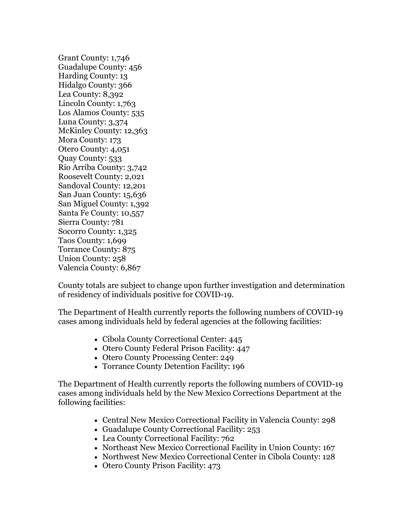Grant County: 1,746 Guadalupe County: 456 Harding County: 13 Hidalgo County: 366 Lea County: 8,392 Lincoln County: 1,763 Los Alamos County: 535 Luna County: 3,374 McKinley County: 12,363 Mora County: 173 Otero County: 4,051 Quay County: 533 Rio Arriba County: 3,742 Roosevelt County: 2,021 Sandoval County: 12,201 San Juan County: 15,636 San Miguel County: 1,392 Santa Fe County: 10,557 Sierra County: 781 Socorro County: 1,325 Taos County: 1,699 Torrance County: 875 Union County: 258 Valencia County: 6,867

County totals are subject to change upon further investigation and determination of residency of individuals positive for COVID-19.

The Department of Health currently reports the following numbers of COVID-19 cases among individuals held by federal agencies at the following facilities:

- Cibola County Correctional Center: 445
- Otero County Federal Prison Facility: 447
- Otero County Processing Center: 249
- Torrance County Detention Facility: 196

The Department of Health currently reports the following numbers of COVID-19 cases among individuals held by the New Mexico Corrections Department at the following facilities:

- Central New Mexico Correctional Facility in Valencia County: 298
- Guadalupe County Correctional Facility: 253
- Lea County Correctional Facility: 762
- Northeast New Mexico Correctional Facility in Union County: 167
- Northwest New Mexico Correctional Center in Cibola County: 128
- Otero County Prison Facility: 473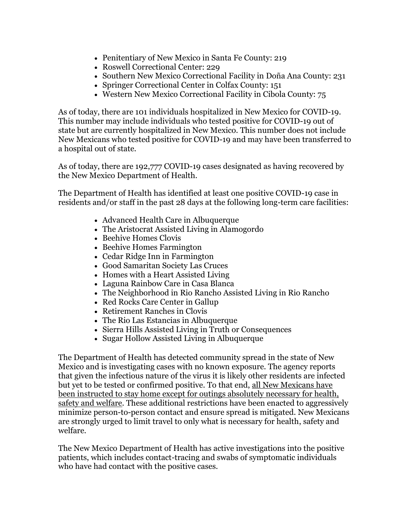- Penitentiary of New Mexico in Santa Fe County: 219
- Roswell Correctional Center: 229
- Southern New Mexico Correctional Facility in Doña Ana County: 231
- Springer Correctional Center in Colfax County: 151
- Western New Mexico Correctional Facility in Cibola County: 75

As of today, there are 101 individuals hospitalized in New Mexico for COVID-19. This number may include individuals who tested positive for COVID-19 out of state but are currently hospitalized in New Mexico. This number does not include New Mexicans who tested positive for COVID-19 and may have been transferred to a hospital out of state.

As of today, there are 192,777 COVID-19 cases designated as having recovered by the New Mexico Department of Health.

The Department of Health has identified at least one positive COVID-19 case in residents and/or staff in the past 28 days at the following long-term care facilities:

- Advanced Health Care in Albuquerque
- The Aristocrat Assisted Living in Alamogordo
- Beehive Homes Clovis
- Beehive Homes Farmington
- Cedar Ridge Inn in Farmington
- Good Samaritan Society Las Cruces
- Homes with a Heart Assisted Living
- Laguna Rainbow Care in Casa Blanca
- The Neighborhood in Rio Rancho Assisted Living in Rio Rancho
- Red Rocks Care Center in Gallup
- Retirement Ranches in Clovis
- The Rio Las Estancias in Albuquerque
- Sierra Hills Assisted Living in Truth or Consequences
- Sugar Hollow Assisted Living in Albuquerque

The Department of Health has detected community spread in the state of New Mexico and is investigating cases with no known exposure. The agency reports that given the infectious nature of the virus it is likely other residents are infected but yet to be tested or confirmed positive. To that end, all New Mexicans have been instructed to stay home except for outings absolutely necessary for health, safety and welfare. These additional restrictions have been enacted to aggressively minimize person-to-person contact and ensure spread is mitigated. New Mexicans are strongly urged to limit travel to only what is necessary for health, safety and welfare.

The New Mexico Department of Health has active investigations into the positive patients, which includes contact-tracing and swabs of symptomatic individuals who have had contact with the positive cases.